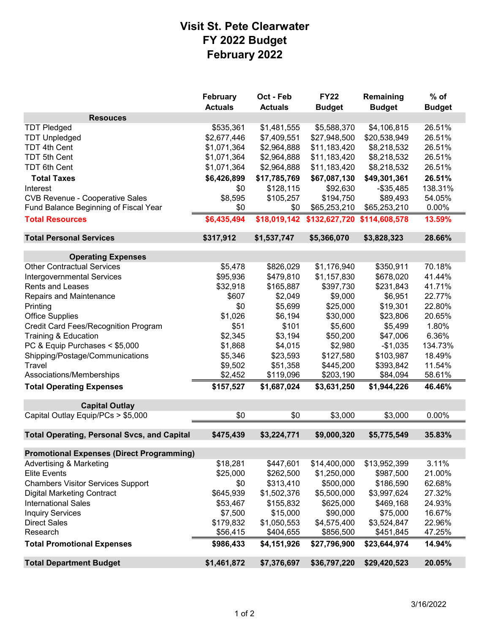## **Visit St. Pete Clearwater FY 2022 Budget February 2022**

|                                                    | February       | Oct - Feb      | <b>FY22</b>   | Remaining     | $%$ of        |
|----------------------------------------------------|----------------|----------------|---------------|---------------|---------------|
|                                                    | <b>Actuals</b> | <b>Actuals</b> | <b>Budget</b> | <b>Budget</b> | <b>Budget</b> |
| <b>Resouces</b>                                    |                |                |               |               |               |
| <b>TDT Pledged</b>                                 | \$535,361      | \$1,481,555    | \$5,588,370   | \$4,106,815   | 26.51%        |
| <b>TDT Unpledged</b>                               | \$2,677,446    | \$7,409,551    | \$27,948,500  | \$20,538,949  | 26.51%        |
| <b>TDT 4th Cent</b>                                | \$1,071,364    | \$2,964,888    | \$11,183,420  | \$8,218,532   | 26.51%        |
| TDT 5th Cent                                       | \$1,071,364    | \$2,964,888    | \$11,183,420  | \$8,218,532   | 26.51%        |
| <b>TDT 6th Cent</b>                                | \$1,071,364    | \$2,964,888    | \$11,183,420  | \$8,218,532   | 26.51%        |
| <b>Total Taxes</b>                                 | \$6,426,899    | \$17,785,769   | \$67,087,130  | \$49,301,361  | 26.51%        |
| Interest                                           | \$0            | \$128,115      | \$92,630      | $-$ \$35,485  | 138.31%       |
| <b>CVB Revenue - Cooperative Sales</b>             | \$8,595        | \$105,257      | \$194,750     | \$89,493      | 54.05%        |
| Fund Balance Beginning of Fiscal Year              | \$0            | \$0            | \$65,253,210  | \$65,253,210  | 0.00%         |
| <b>Total Resources</b>                             | \$6,435,494    | \$18,019,142   | \$132,627,720 | \$114,608,578 | 13.59%        |
| <b>Total Personal Services</b>                     | \$317,912      | \$1,537,747    | \$5,366,070   | \$3,828,323   | 28.66%        |
| <b>Operating Expenses</b>                          |                |                |               |               |               |
| <b>Other Contractual Services</b>                  | \$5,478        | \$826,029      | \$1,176,940   | \$350,911     | 70.18%        |
| <b>Intergovernmental Services</b>                  | \$95,936       | \$479,810      | \$1,157,830   | \$678,020     | 41.44%        |
| Rents and Leases                                   | \$32,918       | \$165,887      | \$397,730     | \$231,843     | 41.71%        |
| Repairs and Maintenance                            | \$607          | \$2,049        | \$9,000       | \$6,951       | 22.77%        |
| Printing                                           | \$0            | \$5,699        | \$25,000      | \$19,301      | 22.80%        |
| <b>Office Supplies</b>                             | \$1,026        | \$6,194        | \$30,000      | \$23,806      | 20.65%        |
| Credit Card Fees/Recognition Program               | \$51           | \$101          | \$5,600       | \$5,499       | 1.80%         |
| <b>Training &amp; Education</b>                    | \$2,345        | \$3,194        | \$50,200      | \$47,006      | 6.36%         |
| PC & Equip Purchases < \$5,000                     | \$1,868        | \$4,015        | \$2,980       | $-$1,035$     | 134.73%       |
| Shipping/Postage/Communications                    | \$5,346        | \$23,593       | \$127,580     | \$103,987     | 18.49%        |
| Travel                                             | \$9,502        | \$51,358       | \$445,200     | \$393,842     | 11.54%        |
| Associations/Memberships                           | \$2,452        | \$119,096      | \$203,190     | \$84,094      | 58.61%        |
| <b>Total Operating Expenses</b>                    | \$157,527      | \$1,687,024    | \$3,631,250   | \$1,944,226   | 46.46%        |
|                                                    |                |                |               |               |               |
| <b>Capital Outlay</b>                              |                |                |               |               |               |
| Capital Outlay Equip/PCs > \$5,000                 | \$0            | \$0            | \$3,000       | \$3,000       | 0.00%         |
| <b>Total Operating, Personal Svcs, and Capital</b> | \$475,439      | \$3,224,771    | \$9,000,320   | \$5,775,549   | 35.83%        |
| <b>Promotional Expenses (Direct Programming)</b>   |                |                |               |               |               |
| <b>Advertising &amp; Marketing</b>                 | \$18,281       | \$447,601      | \$14,400,000  | \$13,952,399  | 3.11%         |
| <b>Elite Events</b>                                | \$25,000       | \$262,500      | \$1,250,000   | \$987,500     | 21.00%        |
| <b>Chambers Visitor Services Support</b>           | \$0            | \$313,410      | \$500,000     | \$186,590     | 62.68%        |
| <b>Digital Marketing Contract</b>                  | \$645,939      | \$1,502,376    | \$5,500,000   | \$3,997,624   | 27.32%        |
| <b>International Sales</b>                         | \$53,467       | \$155,832      | \$625,000     | \$469,168     | 24.93%        |
| <b>Inquiry Services</b>                            | \$7,500        | \$15,000       | \$90,000      | \$75,000      | 16.67%        |
| <b>Direct Sales</b>                                | \$179,832      | \$1,050,553    | \$4,575,400   | \$3,524,847   | 22.96%        |
| Research                                           | \$56,415       | \$404,655      | \$856,500     | \$451,845     | 47.25%        |
| <b>Total Promotional Expenses</b>                  | \$986,433      | \$4,151,926    | \$27,796,900  | \$23,644,974  | 14.94%        |
| <b>Total Department Budget</b>                     | \$1,461,872    | \$7,376,697    | \$36,797,220  | \$29,420,523  | 20.05%        |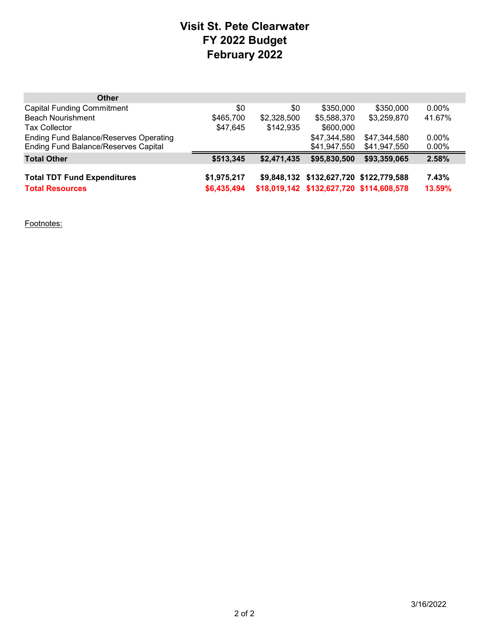## **Visit St. Pete Clearwater FY 2022 Budget February 2022**

| <b>Other</b>                                  |             |             |                                          |              |          |
|-----------------------------------------------|-------------|-------------|------------------------------------------|--------------|----------|
| <b>Capital Funding Commitment</b>             | \$0         | \$0         | \$350,000                                | \$350,000    | $0.00\%$ |
| <b>Beach Nourishment</b>                      | \$465,700   | \$2,328,500 | \$5,588,370                              | \$3,259,870  | 41.67%   |
| <b>Tax Collector</b>                          | \$47,645    | \$142,935   | \$600,000                                |              |          |
| <b>Ending Fund Balance/Reserves Operating</b> |             |             | \$47,344,580                             | \$47,344,580 | $0.00\%$ |
| <b>Ending Fund Balance/Reserves Capital</b>   |             |             | \$41,947,550                             | \$41,947,550 | $0.00\%$ |
| <b>Total Other</b>                            | \$513,345   | \$2,471,435 | \$95,830,500                             | \$93,359,065 | 2.58%    |
| <b>Total TDT Fund Expenditures</b>            | \$1,975,217 |             | \$9,848,132 \$132,627,720 \$122,779,588  |              | 7.43%    |
|                                               |             |             |                                          |              |          |
| <b>Total Resources</b>                        | \$6,435,494 |             | \$18,019,142 \$132,627,720 \$114,608,578 |              | 13.59%   |

Footnotes: